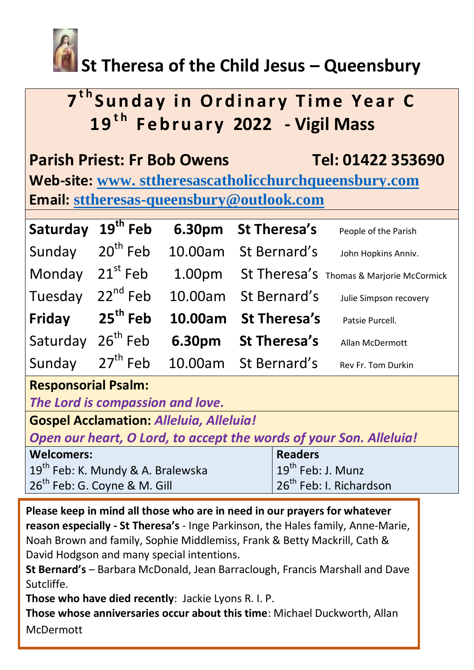

# **St Theresa of the Child Jesus – Queensbury**

# **7<sup>th</sup>Sunday in Ordinary Time Year C 1 9t h F e b r u a r y 2022 - Vigil Mass**

|                                                       | <b>Parish Priest: Fr Bob Owens</b> | Tel: 01422 353690 |  |  |
|-------------------------------------------------------|------------------------------------|-------------------|--|--|
| Web-site: www. sttheresascatholicchurchqueensbury.com |                                    |                   |  |  |
| <b>Email: sttheresas-queensbury@outlook.com</b>       |                                    |                   |  |  |

| Saturday 19 <sup>th</sup> Feb |                             | 6.30pm St Theresa's  | People of the Parish                            |
|-------------------------------|-----------------------------|----------------------|-------------------------------------------------|
| Sunday 20 <sup>th</sup> Feb   |                             | 10.00am St Bernard's | John Hopkins Anniv.                             |
| Monday 21 <sup>st</sup> Feb   |                             |                      | 1.00pm St Theresa's Thomas & Marjorie McCormick |
| Tuesday 22 <sup>nd</sup> Feb  |                             | 10.00am St Bernard's | Julie Simpson recovery                          |
| Friday 25 <sup>th</sup> Feb   |                             | 10.00am St Theresa's | Patsie Purcell.                                 |
| Saturday 26 <sup>th</sup> Feb |                             | 6.30pm St Theresa's  | Allan McDermott                                 |
|                               | Sunday 27 <sup>th</sup> Feb | 10.00am St Bernard's | Rev Fr. Tom Durkin                              |

## **Responsorial Psalm:**

*The Lord is compassion and love.*

**Gospel Acclamation:** *Alleluia, Alleluia!*

*Open our heart, O Lord, to accept the words of your Son. Alleluia!*

| Welcomers:                                       | <b>Readers</b>                       |  |
|--------------------------------------------------|--------------------------------------|--|
| $19^{\text{th}}$ Feb: K. Mundy & A. Bralewska    | $\mid$ 19 <sup>th</sup> Feb: J. Munz |  |
| $\vert$ 26 <sup>th</sup> Feb: G. Coyne & M. Gill | 126 <sup>th</sup> Feb: I. Richardson |  |

**Please keep in mind all those who are in need in our prayers for whatever reason especially - St Theresa's** - Inge Parkinson, the Hales family, Anne-Marie, Noah Brown and family, Sophie Middlemiss, Frank & Betty Mackrill, Cath & David Hodgson and many special intentions.

**St Bernard's** – Barbara McDonald, Jean Barraclough, Francis Marshall and Dave Sutcliffe.

**Those who have died recently**: Jackie Lyons R. I. P.

**Those whose anniversaries occur about this time**: Michael Duckworth, Allan McDermott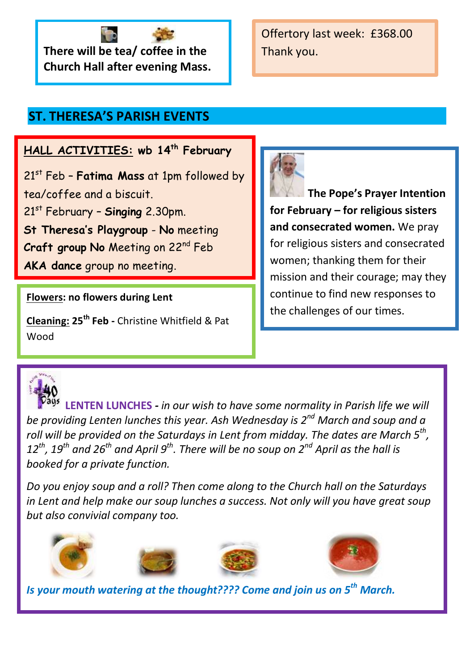

Offertory last week: £368.00 Thank you.

## **ST. THERESA'S PARISH EVENTS**

### **HALL ACTIVITIES: wb 14th February**

21st Feb – **Fatima Mass** at 1pm followed by tea/coffee and a biscuit. 21st February – **Singing** 2.30pm. **St Theresa's Playgroup** - **No** meeting **Craft group No** Meeting on 22nd Feb **AKA dance** group no meeting.

#### **Flowers: no flowers during Lent**

 **Cleaning: 25th Feb -** Christine Whitfield & Pat Wood



**The Pope's Prayer Intention for February – for religious sisters and consecrated women.** We pray for religious sisters and consecrated women; thanking them for their mission and their courage; may they continue to find new responses to the challenges of our times.



 **LENTEN LUNCHES** *- in our wish to have some normality in Parish life we will be providing Lenten lunches this year. Ash Wednesday is 2nd March and soup and a roll will be provided on the Saturdays in Lent from midday. The dates are March 5th , 12th, 19th and 26th and April 9th. There will be no soup on 2nd April as the hall is booked for a private function.* 

*Do you enjoy soup and a roll? Then come along to the Church hall on the Saturdays in Lent and help make our soup lunches a success. Not only will you have great soup but also convivial company too.* 









*Is your mouth watering at the thought???? Come and join us on 5th March.*